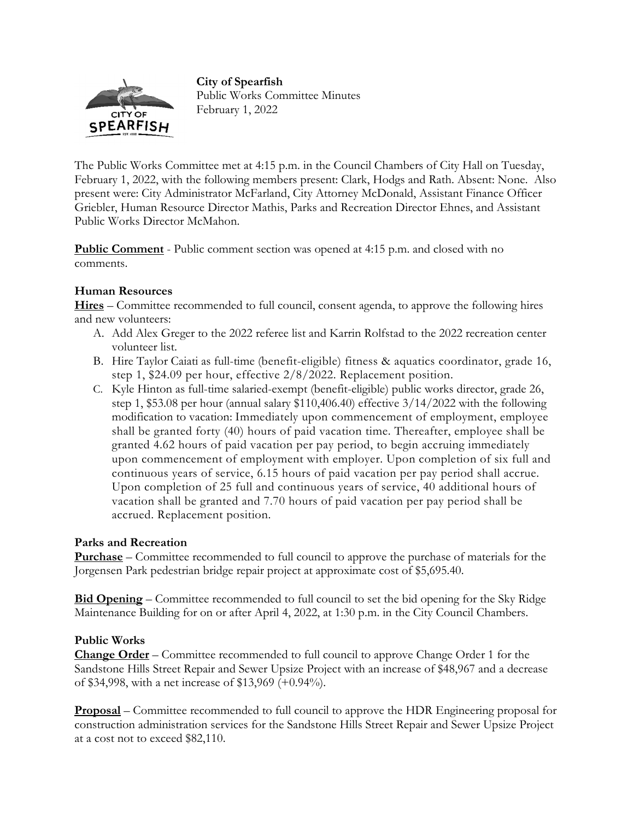## **City of Spearfish**



Public Works Committee Minutes February 1, 2022

The Public Works Committee met at 4:15 p.m. in the Council Chambers of City Hall on Tuesday, February 1, 2022, with the following members present: Clark, Hodgs and Rath. Absent: None. Also present were: City Administrator McFarland, City Attorney McDonald, Assistant Finance Officer Griebler, Human Resource Director Mathis, Parks and Recreation Director Ehnes, and Assistant Public Works Director McMahon.

**Public Comment** - Public comment section was opened at 4:15 p.m. and closed with no comments.

## **Human Resources**

**Hires** – Committee recommended to full council, consent agenda, to approve the following hires and new volunteers:

- A. Add Alex Greger to the 2022 referee list and Karrin Rolfstad to the 2022 recreation center volunteer list.
- B. Hire Taylor Caiati as full-time (benefit-eligible) fitness & aquatics coordinator, grade 16, step 1, \$24.09 per hour, effective 2/8/2022. Replacement position.
- C. Kyle Hinton as full-time salaried-exempt (benefit-eligible) public works director, grade 26, step 1, \$53.08 per hour (annual salary \$110,406.40) effective 3/14/2022 with the following modification to vacation: Immediately upon commencement of employment, employee shall be granted forty (40) hours of paid vacation time. Thereafter, employee shall be granted 4.62 hours of paid vacation per pay period, to begin accruing immediately upon commencement of employment with employer. Upon completion of six full and continuous years of service, 6.15 hours of paid vacation per pay period shall accrue. Upon completion of 25 full and continuous years of service, 40 additional hours of vacation shall be granted and 7.70 hours of paid vacation per pay period shall be accrued. Replacement position.

## **Parks and Recreation**

**Purchase** – Committee recommended to full council to approve the purchase of materials for the Jorgensen Park pedestrian bridge repair project at approximate cost of \$5,695.40.

**Bid Opening** – Committee recommended to full council to set the bid opening for the Sky Ridge Maintenance Building for on or after April 4, 2022, at 1:30 p.m. in the City Council Chambers.

## **Public Works**

**Change Order** – Committee recommended to full council to approve Change Order 1 for the Sandstone Hills Street Repair and Sewer Upsize Project with an increase of \$48,967 and a decrease of \$34,998, with a net increase of \$13,969 (+0.94%).

**Proposal** – Committee recommended to full council to approve the HDR Engineering proposal for construction administration services for the Sandstone Hills Street Repair and Sewer Upsize Project at a cost not to exceed \$82,110.